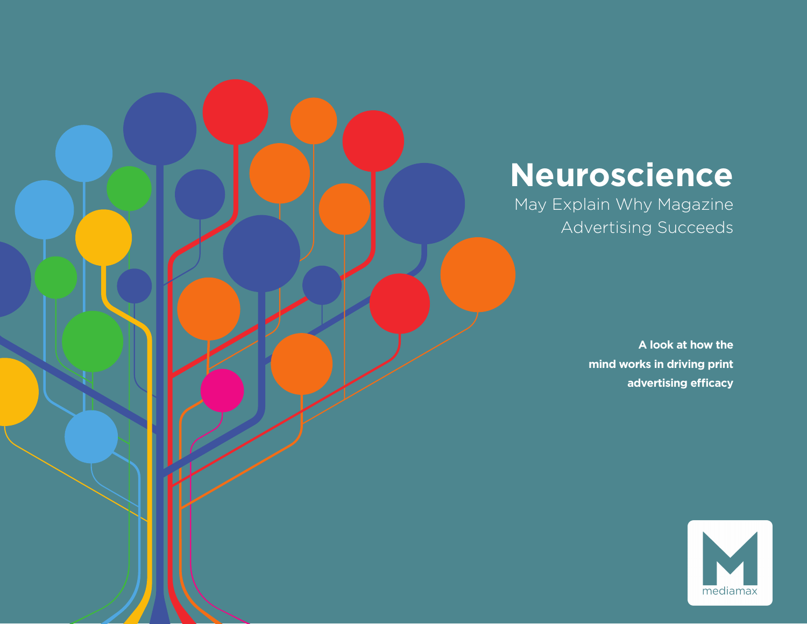## **Neuroscience**

May Explain Why Magazine Advertising Succeeds

> **A look at how the mind works in driving print advertising efficacy**

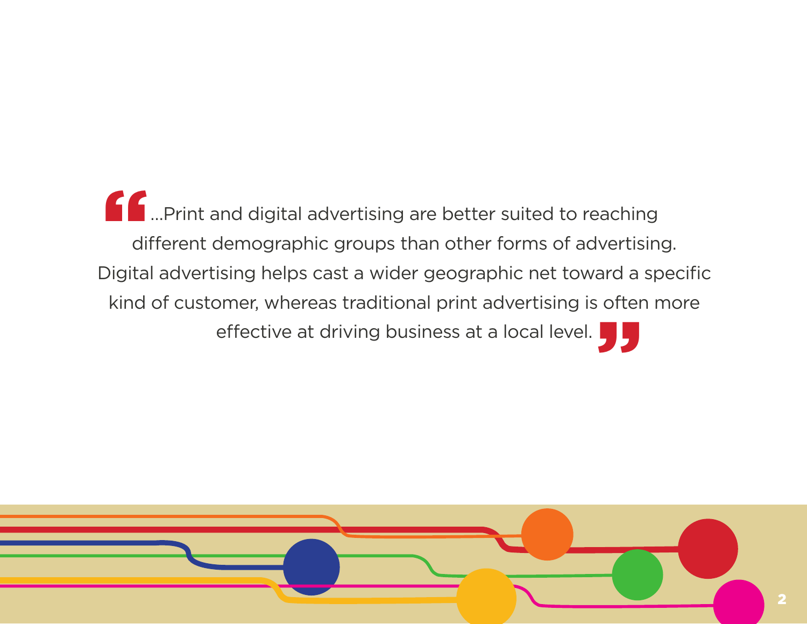…Print and digital advertising are better suited to reaching different demographic groups than other forms of advertising. Digital advertising helps cast a wider geographic net toward a specific kind of customer, whereas traditional print advertising is often more effective at driving business at a local level. " **JJ** 

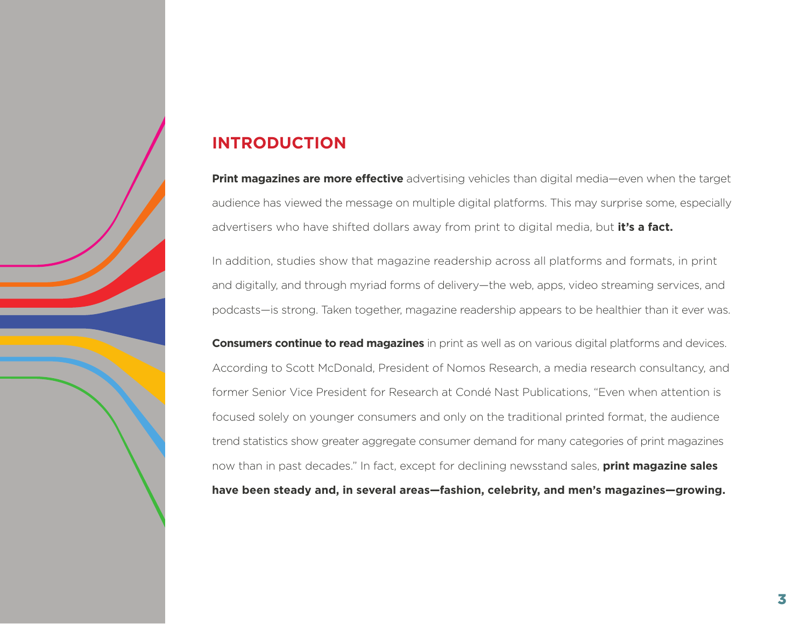### **INTRODUCTION**

**Print magazines are more effective** advertising vehicles than digital media—even when the target audience has viewed the message on multiple digital platforms. This may surprise some, especially advertisers who have shifted dollars away from print to digital media, but **it's a fact.**

In addition, studies show that magazine readership across all platforms and formats, in print and digitally, and through myriad forms of delivery—the web, apps, video streaming services, and podcasts—is strong. Taken together, magazine readership appears to be healthier than it ever was.

**Consumers continue to read magazines** in print as well as on various digital platforms and devices. According to Scott McDonald, President of Nomos Research, a media research consultancy, and former Senior Vice President for Research at Condé Nast Publications, "Even when attention is focused solely on younger consumers and only on the traditional printed format, the audience trend statistics show greater aggregate consumer demand for many categories of print magazines now than in past decades." In fact, except for declining newsstand sales, **print magazine sales have been steady and, in several areas—fashion, celebrity, and men's magazines—growing.**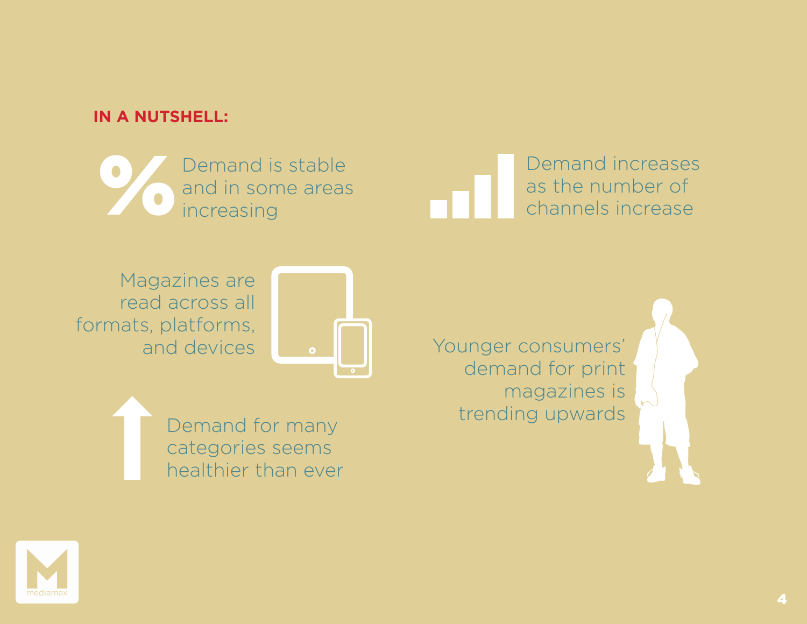### **IN A NUTSHELL:**

Demand is stable and in some areas increasing

Demand increases Demand is stable<br>and in some areas as the number of the number of channels increase<br>example of the number of channels increase

Magazines are read across all formats, platforms, and devices



Demand for many categories seems healthier than ever Younger consumers' demand for print magazines is trending upwards

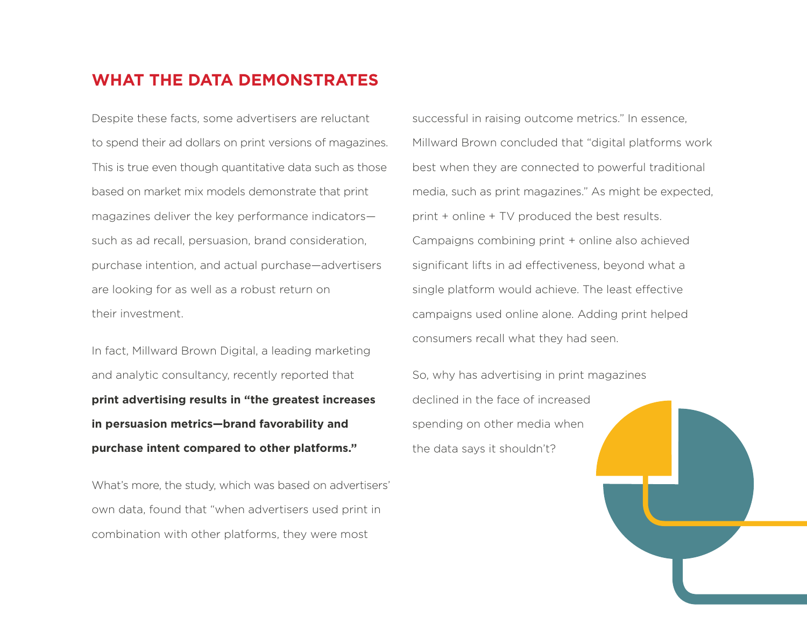#### **WHAT THE DATA DEMONSTRATES**

Despite these facts, some advertisers are reluctant to spend their ad dollars on print versions of magazines. This is true even though quantitative data such as those based on market mix models demonstrate that print magazines deliver the key performance indicators such as ad recall, persuasion, brand consideration, purchase intention, and actual purchase—advertisers are looking for as well as a robust return on their investment.

In fact, Millward Brown Digital, a leading marketing and analytic consultancy, recently reported that **print advertising results in "the greatest increases in persuasion metrics—brand favorability and purchase intent compared to other platforms."**

What's more, the study, which was based on advertisers' own data, found that "when advertisers used print in combination with other platforms, they were most

successful in raising outcome metrics." In essence, Millward Brown concluded that "digital platforms work best when they are connected to powerful traditional media, such as print magazines." As might be expected, print + online + TV produced the best results. Campaigns combining print + online also achieved significant lifts in ad effectiveness, beyond what a single platform would achieve. The least effective campaigns used online alone. Adding print helped consumers recall what they had seen.

So, why has advertising in print magazines declined in the face of increased spending on other media when the data says it shouldn't?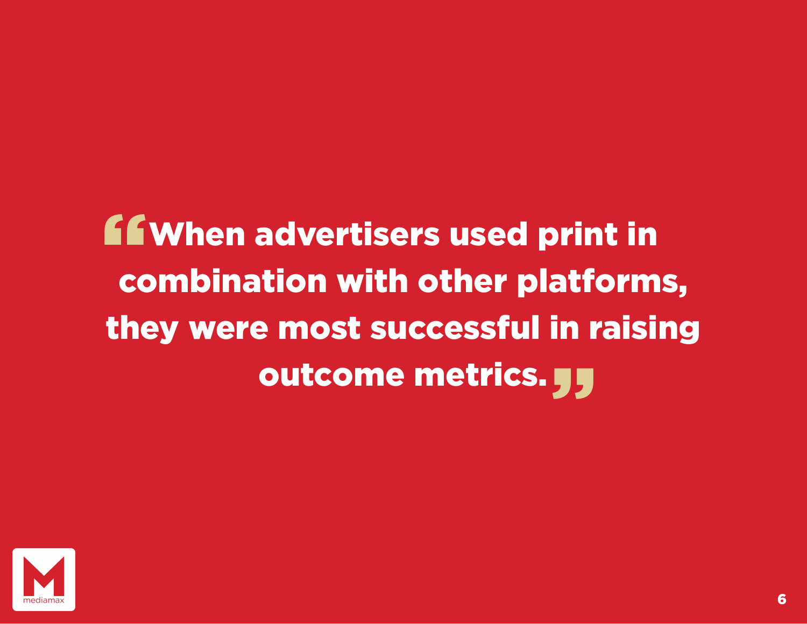# When advertisers used print in combination with other platforms, they were most successful in raising outcome metrics. JJ "

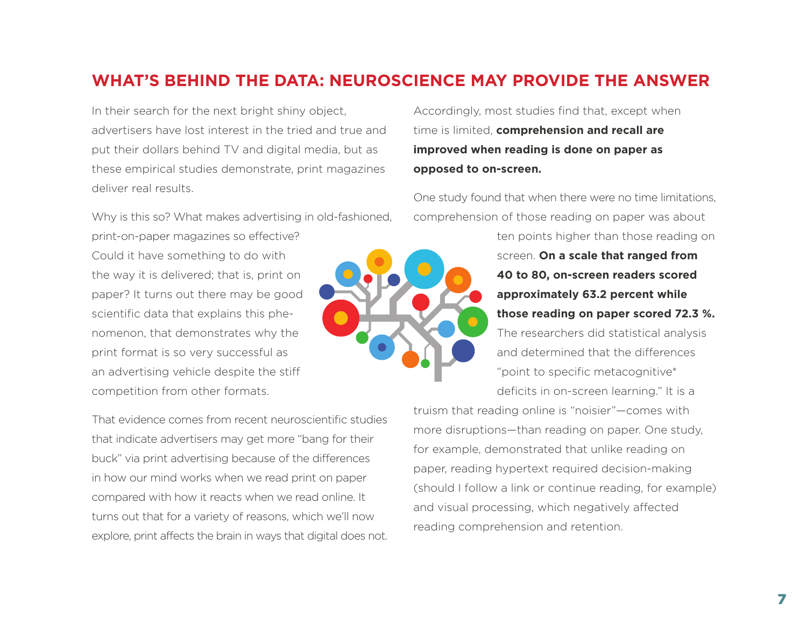### **WHAT'S BEHIND THE DATA: NEUROSCIENCE MAY PROVIDE THE ANSWER**

In their search for the next bright shiny object, advertisers have lost interest in the tried and true and put their dollars behind TV and digital media, but as these empirical studies demonstrate, print magazines deliver real results.

Why is this so? What makes advertising in old-fashioned,

print-on-paper magazines so effective? Could it have something to do with the way it is delivered; that is, print on paper? It turns out there may be good scientific data that explains this phenomenon, that demonstrates why the print format is so very successful as an advertising vehicle despite the stiff competition from other formats.

That evidence comes from recent neuroscientific studies that indicate advertisers may get more "bang for their buck" via print advertising because of the differences in how our mind works when we read print on paper compared with how it reacts when we read online. It turns out that for a variety of reasons, which we'll now explore, print affects the brain in ways that digital does not.

Accordingly, most studies find that, except when time is limited, **comprehension and recall are improved when reading is done on paper as opposed to on-screen.**

One study found that when there were no time limitations, comprehension of those reading on paper was about

> ten points higher than those reading on screen. **On a scale that ranged from 40 to 80, on-screen readers scored approximately 63.2 percent while those reading on paper scored 72.3 %.** The researchers did statistical analysis and determined that the differences "point to specific metacognitive\*

deficits in on-screen learning." It is a

truism that reading online is "noisier"—comes with more disruptions—than reading on paper. One study, for example, demonstrated that unlike reading on paper, reading hypertext required decision-making (should I follow a link or continue reading, for example) and visual processing, which negatively affected reading comprehension and retention.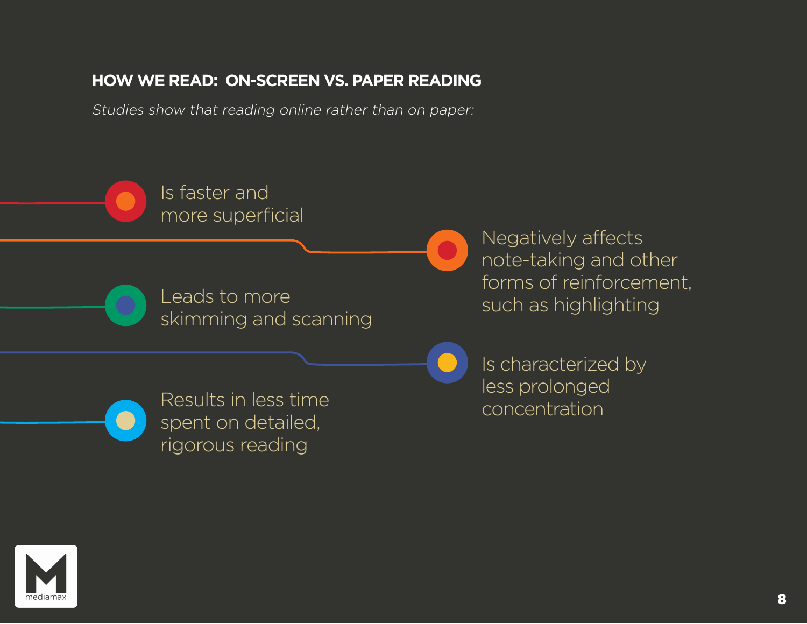### **HOW WE READ: ON-SCREEN VS. PAPER READING**

Studies show that reading online rather than on paper:



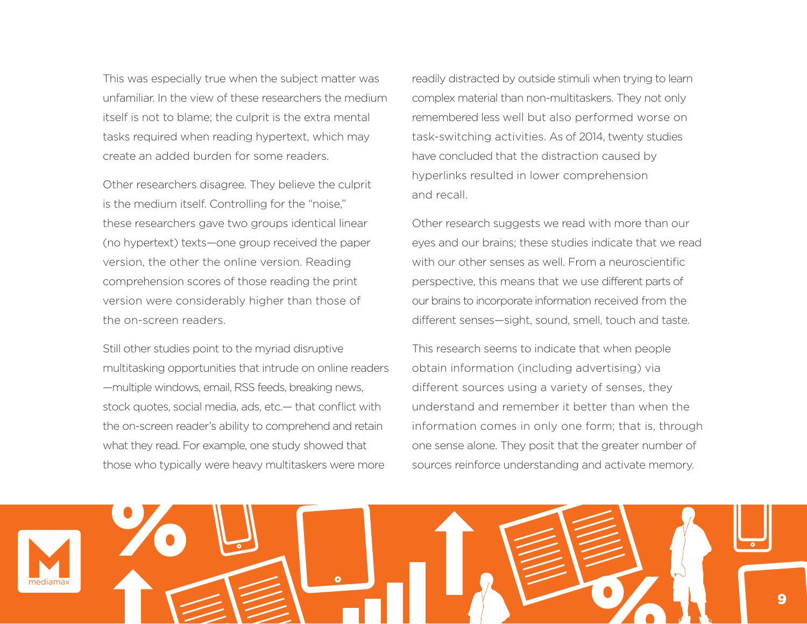This was especially true when the subject matter was unfamiliar. In the view of these researchers the medium itself is not to blame; the culprit is the extra mental tasks required when reading hypertext, which may create an added burden for some readers.

Other researchers disagree. They believe the culprit is the medium itself. Controlling for the "noise," these researchers gave two groups identical linear (no hypertext) texts—one group received the paper version, the other the online version. Reading comprehension scores of those reading the print version were considerably higher than those of the on-screen readers.

Still other studies point to the myriad disruptive multitasking opportunities that intrude on online readers —multiple windows, email, RSS feeds, breaking news, stock quotes, social media, ads, etc.— that conflict with the on-screen reader's ability to comprehend and retain what they read. For example, one study showed that those who typically were heavy multitaskers were more

readily distracted by outside stimuli when trying to learn complex material than non-multitaskers. They not only remembered less well but also performed worse on task-switching activities. As of 2014, twenty studies have concluded that the distraction caused by hyperlinks resulted in lower comprehension and recall.

Other research suggests we read with more than our eyes and our brains; these studies indicate that we read with our other senses as well. From a neuroscientific perspective, this means that we use different parts of our brains to incorporate information received from the different senses—sight, sound, smell, touch and taste.

This research seems to indicate that when people obtain information (including advertising) via different sources using a variety of senses, they understand and remember it better than when the information comes in only one form; that is, through one sense alone. They posit that the greater number of sources reinforce understanding and activate memory.

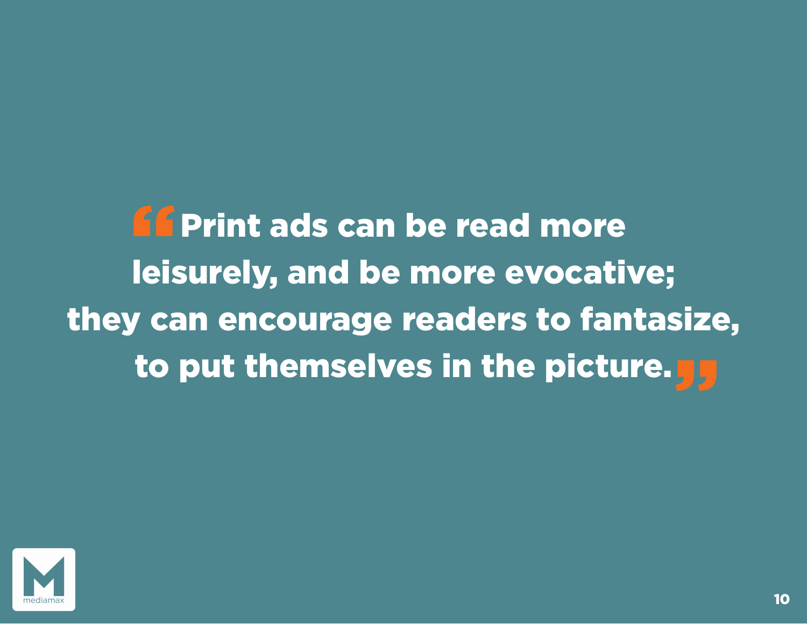Print ads can be read more leisurely, and be more evocative; they can encourage readers to fantasize, to put themselves in the picture.<mark>55</mark> **"**<br>"

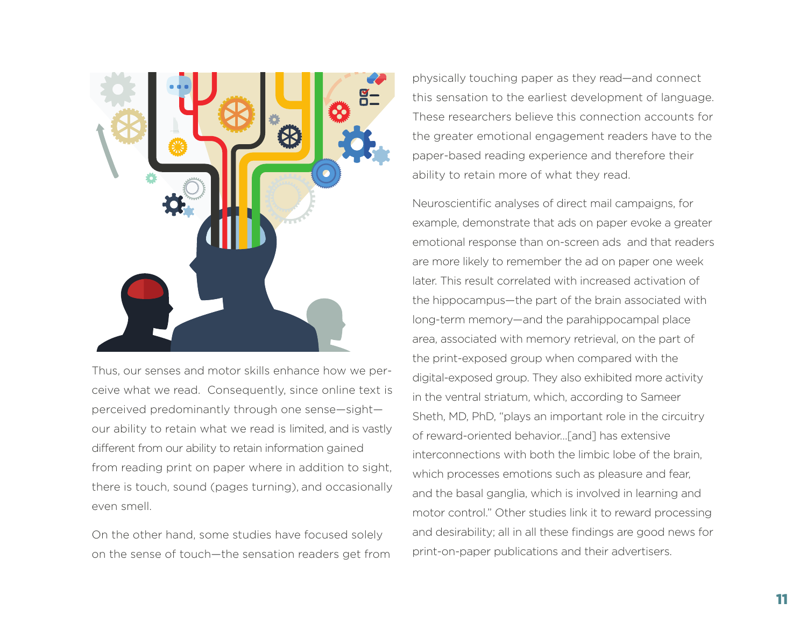

Thus, our senses and motor skills enhance how we perceive what we read. Consequently, since online text is perceived predominantly through one sense—sight our ability to retain what we read is limited, and is vastly different from our ability to retain information gained from reading print on paper where in addition to sight, there is touch, sound (pages turning), and occasionally even smell.

On the other hand, some studies have focused solely on the sense of touch—the sensation readers get from

physically touching paper as they read—and connect this sensation to the earliest development of language. These researchers believe this connection accounts for the greater emotional engagement readers have to the paper-based reading experience and therefore their ability to retain more of what they read.

Neuroscientific analyses of direct mail campaigns, for example, demonstrate that ads on paper evoke a greater emotional response than on-screen ads and that readers are more likely to remember the ad on paper one week later. This result correlated with increased activation of the hippocampus—the part of the brain associated with long-term memory—and the parahippocampal place area, associated with memory retrieval, on the part of the print-exposed group when compared with the digital-exposed group. They also exhibited more activity in the ventral striatum, which, according to Sameer Sheth, MD, PhD, "plays an important role in the circuitry of reward-oriented behavior…[and] has extensive interconnections with both the limbic lobe of the brain, which processes emotions such as pleasure and fear, and the basal ganglia, which is involved in learning and motor control." Other studies link it to reward processing and desirability; all in all these findings are good news for print-on-paper publications and their advertisers.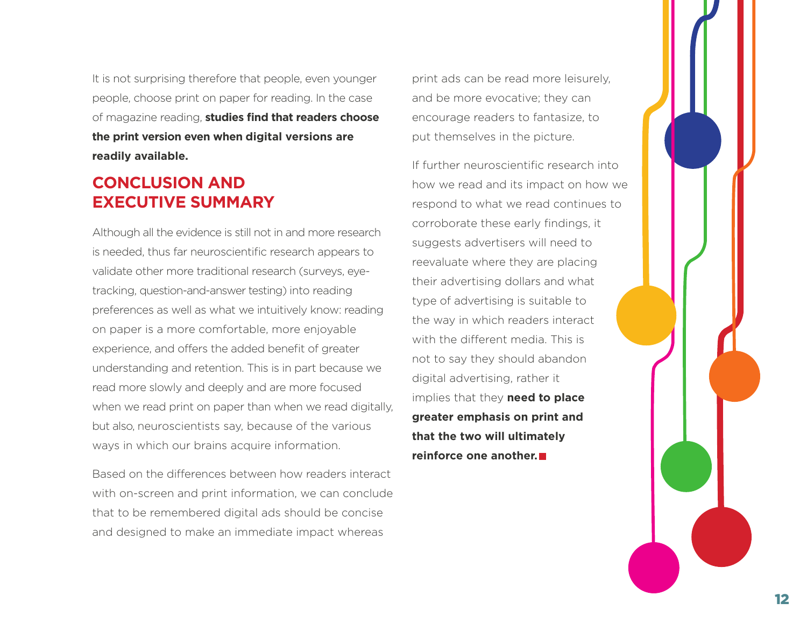It is not surprising therefore that people, even younger people, choose print on paper for reading. In the case of magazine reading, **studies find that readers choose the print version even when digital versions are readily available.**

### **CONCLUSION AND EXECUTIVE SUMMARY**

Although all the evidence is still not in and more research is needed, thus far neuroscientific research appears to validate other more traditional research (surveys, eyetracking, question-and-answer testing) into reading preferences as well as what we intuitively know: reading on paper is a more comfortable, more enjoyable experience, and offers the added benefit of greater understanding and retention. This is in part because we read more slowly and deeply and are more focused when we read print on paper than when we read digitally, but also, neuroscientists say, because of the various ways in which our brains acquire information.

Based on the differences between how readers interact with on-screen and print information, we can conclude that to be remembered digital ads should be concise and designed to make an immediate impact whereas

print ads can be read more leisurely, and be more evocative; they can encourage readers to fantasize, to put themselves in the picture.

If further neuroscientific research into how we read and its impact on how we respond to what we read continues to corroborate these early findings, it suggests advertisers will need to reevaluate where they are placing their advertising dollars and what type of advertising is suitable to the way in which readers interact with the different media. This is not to say they should abandon digital advertising, rather it implies that they **need to place greater emphasis on print and that the two will ultimately reinforce one another.**